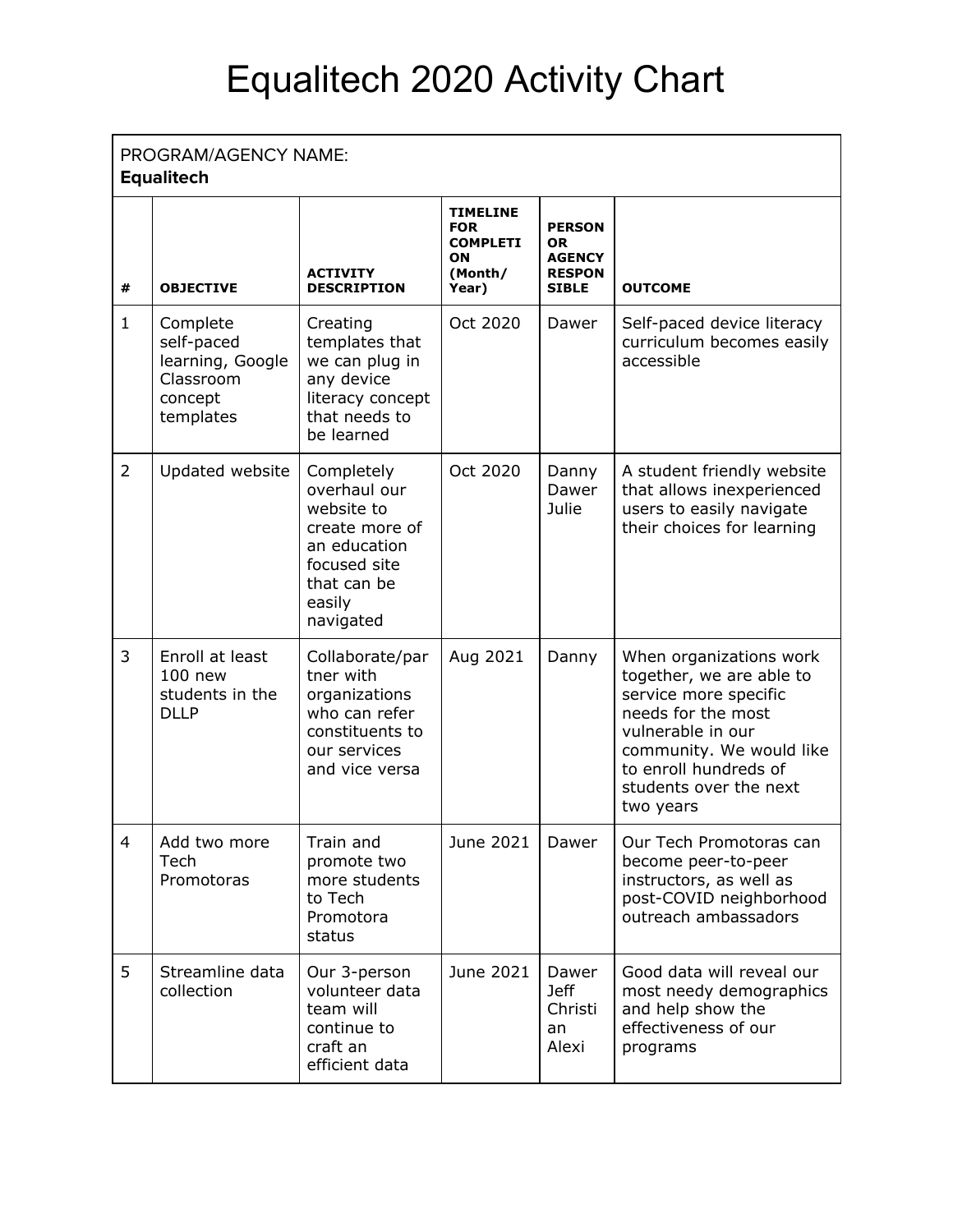## Equalitech 2020 Activity Chart

## **Equalitech**

| #              | <b>OBJECTIVE</b>                                                                | <b>ACTIVITY</b><br><b>DESCRIPTION</b>                                                                                            | <b>TIMELINE</b><br><b>FOR</b><br><b>COMPLETI</b><br>ON<br>(Month/<br>Year) | <b>PERSON</b><br><b>OR</b><br><b>AGENCY</b><br><b>RESPON</b><br><b>SIBLE</b> | <b>OUTCOME</b>                                                                                                                                                                                                      |  |  |  |
|----------------|---------------------------------------------------------------------------------|----------------------------------------------------------------------------------------------------------------------------------|----------------------------------------------------------------------------|------------------------------------------------------------------------------|---------------------------------------------------------------------------------------------------------------------------------------------------------------------------------------------------------------------|--|--|--|
| $\mathbf{1}$   | Complete<br>self-paced<br>learning, Google<br>Classroom<br>concept<br>templates | Creating<br>templates that<br>we can plug in<br>any device<br>literacy concept<br>that needs to<br>be learned                    | Oct 2020                                                                   | Dawer                                                                        | Self-paced device literacy<br>curriculum becomes easily<br>accessible                                                                                                                                               |  |  |  |
| $\overline{2}$ | Updated website                                                                 | Completely<br>overhaul our<br>website to<br>create more of<br>an education<br>focused site<br>that can be<br>easily<br>navigated | Oct 2020                                                                   | Danny<br>Dawer<br>Julie                                                      | A student friendly website<br>that allows inexperienced<br>users to easily navigate<br>their choices for learning                                                                                                   |  |  |  |
| 3              | Enroll at least<br>100 new<br>students in the<br><b>DLLP</b>                    | Collaborate/par<br>tner with<br>organizations<br>who can refer<br>constituents to<br>our services<br>and vice versa              | Aug 2021                                                                   | Danny                                                                        | When organizations work<br>together, we are able to<br>service more specific<br>needs for the most<br>vulnerable in our<br>community. We would like<br>to enroll hundreds of<br>students over the next<br>two years |  |  |  |
| $\overline{4}$ | Add two more<br>Tech<br>Promotoras                                              | Train and<br>promote two<br>more students<br>to Tech<br>Promotora<br>status                                                      | June 2021                                                                  | Dawer                                                                        | Our Tech Promotoras can<br>become peer-to-peer<br>instructors, as well as<br>post-COVID neighborhood<br>outreach ambassadors                                                                                        |  |  |  |
| 5              | Streamline data<br>collection                                                   | Our 3-person<br>volunteer data<br>team will<br>continue to<br>craft an<br>efficient data                                         | June 2021                                                                  | Dawer<br><b>Jeff</b><br>Christi<br>an<br>Alexi                               | Good data will reveal our<br>most needy demographics<br>and help show the<br>effectiveness of our<br>programs                                                                                                       |  |  |  |